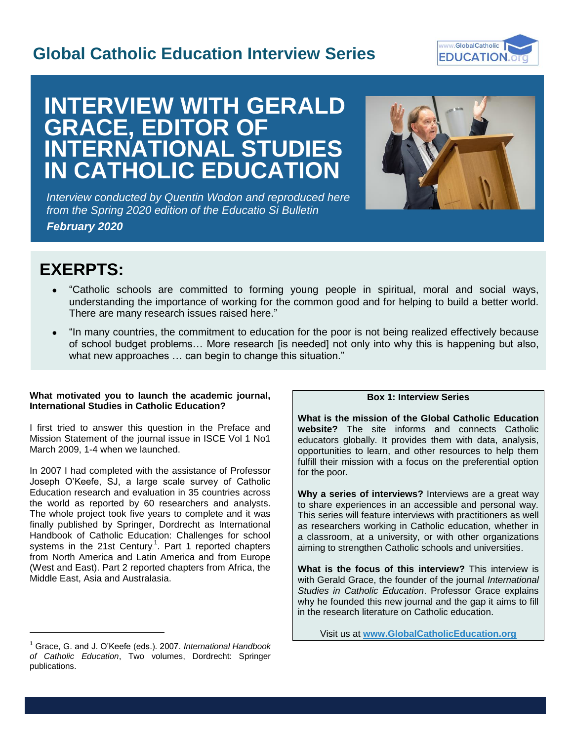# **Global Catholic Education Interview Series**



# **INTERVIEW WITH GERALD GRACE, EDITOR OF INTERNATIONAL STUDIES IN CATHOLIC EDUCATION**

*Interview conducted by Quentin Wodon and reproduced here from the Spring 2020 edition of the Educatio Si Bulletin February 2020*



I

# **EXERPTS:**

l

- "Catholic schools are committed to forming young people in spiritual, moral and social ways, understanding the importance of working for the common good and for helping to build a better world. There are many research issues raised here."
- "In many countries, the commitment to education for the poor is not being realized effectively because of school budget problems… More research [is needed] not only into why this is happening but also, what new approaches … can begin to change this situation."

## **What motivated you to launch the academic journal, International Studies in Catholic Education?**

I first tried to answer this question in the Preface and Mission Statement of the journal issue in ISCE Vol 1 No1 March 2009, 1-4 when we launched.

In 2007 I had completed with the assistance of Professor Joseph O'Keefe, SJ, a large scale survey of Catholic Education research and evaluation in 35 countries across the world as reported by 60 researchers and analysts. The whole project took five years to complete and it was finally published by Springer, Dordrecht as International Handbook of Catholic Education: Challenges for school systems in the 21st Century.<sup>1</sup>. Part 1 reported chapters from North America and Latin America and from Europe (West and East). Part 2 reported chapters from Africa, the Middle East, Asia and Australasia.

# **Box 1: Interview Series**

**What is the mission of the Global Catholic Education website?** The site informs and connects Catholic educators globally. It provides them with data, analysis, opportunities to learn, and other resources to help them fulfill their mission with a focus on the preferential option for the poor.

**Why a series of interviews?** Interviews are a great way to share experiences in an accessible and personal way. This series will feature interviews with practitioners as well as researchers working in Catholic education, whether in a classroom, at a university, or with other organizations aiming to strengthen Catholic schools and universities.

**What is the focus of this interview?** This interview is with Gerald Grace, the founder of the journal *International Studies in Catholic Education*. Professor Grace explains why he founded this new journal and the gap it aims to fill in the research literature on Catholic education.

Visit us at **[www.GlobalCatholicEducation.org](http://www.globalcatholiceducation.org/)**

<sup>1</sup> Grace, G. and J. O'Keefe (eds.). 2007. *International Handbook of Catholic Education*, Two volumes, Dordrecht: Springer publications.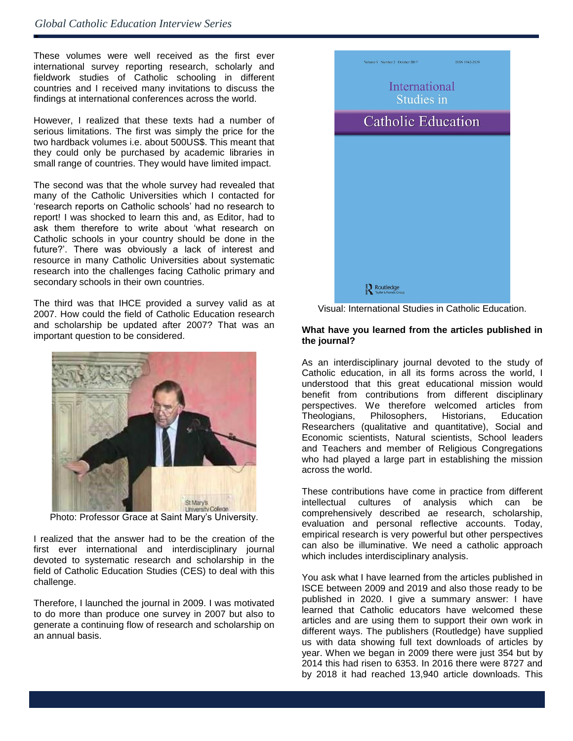ė

These volumes were well received as the first ever international survey reporting research, scholarly and fieldwork studies of Catholic schooling in different countries and I received many invitations to discuss the findings at international conferences across the world.

However, I realized that these texts had a number of serious limitations. The first was simply the price for the two hardback volumes i.e. about 500US\$. This meant that they could only be purchased by academic libraries in small range of countries. They would have limited impact.

The second was that the whole survey had revealed that many of the Catholic Universities which I contacted for 'research reports on Catholic schools' had no research to report! I was shocked to learn this and, as Editor, had to ask them therefore to write about 'what research on Catholic schools in your country should be done in the future?'. There was obviously a lack of interest and resource in many Catholic Universities about systematic research into the challenges facing Catholic primary and secondary schools in their own countries.

The third was that IHCE provided a survey valid as at 2007. How could the field of Catholic Education research and scholarship be updated after 2007? That was an important question to be considered.



Photo: Professor Grace at Saint Mary's University.

I realized that the answer had to be the creation of the first ever international and interdisciplinary journal devoted to systematic research and scholarship in the field of Catholic Education Studies (CES) to deal with this challenge.

Therefore, I launched the journal in 2009. I was motivated to do more than produce one survey in 2007 but also to generate a continuing flow of research and scholarship on an annual basis.



Visual: International Studies in Catholic Education.

#### **What have you learned from the articles published in the journal?**

As an interdisciplinary journal devoted to the study of Catholic education, in all its forms across the world, I understood that this great educational mission would benefit from contributions from different disciplinary perspectives. We therefore welcomed articles from Theologians, Philosophers, Historians, Education Researchers (qualitative and quantitative), Social and Economic scientists, Natural scientists, School leaders and Teachers and member of Religious Congregations who had played a large part in establishing the mission across the world.

These contributions have come in practice from different intellectual cultures of analysis which can be comprehensively described ae research, scholarship, evaluation and personal reflective accounts. Today, empirical research is very powerful but other perspectives can also be illuminative. We need a catholic approach which includes interdisciplinary analysis.

You ask what I have learned from the articles published in ISCE between 2009 and 2019 and also those ready to be published in 2020. I give a summary answer: I have learned that Catholic educators have welcomed these articles and are using them to support their own work in different ways. The publishers (Routledge) have supplied us with data showing full text downloads of articles by year. When we began in 2009 there were just 354 but by 2014 this had risen to 6353. In 2016 there were 8727 and by 2018 it had reached 13,940 article downloads. This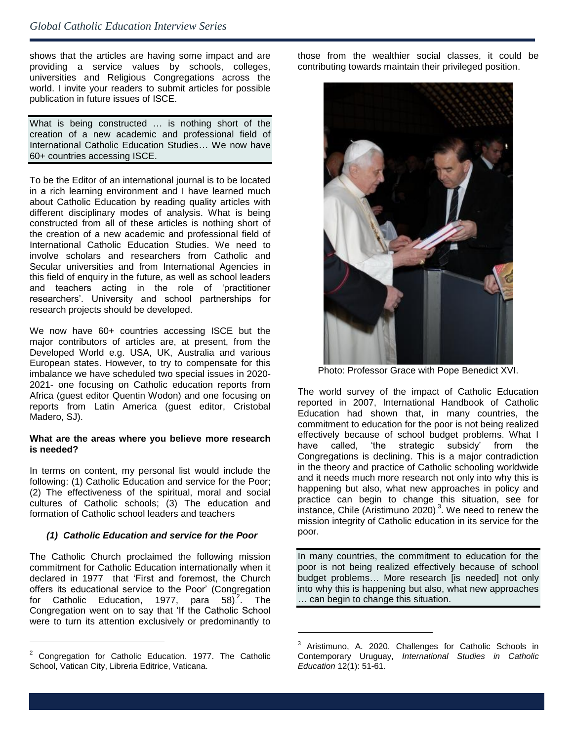# *Global Catholic Education Interview Series*

 shows that the articles are having some impact and are providing a service values by schools, colleges, universities and Religious Congregations across the world. I invite your readers to submit articles for possible publication in future issues of ISCE.

What is being constructed … is nothing short of the creation of a new academic and professional field of International Catholic Education Studies… We now have 60+ countries accessing ISCE.

To be the Editor of an international journal is to be located in a rich learning environment and I have learned much about Catholic Education by reading quality articles with different disciplinary modes of analysis. What is being constructed from all of these articles is nothing short of the creation of a new academic and professional field of International Catholic Education Studies. We need to involve scholars and researchers from Catholic and Secular universities and from International Agencies in this field of enquiry in the future, as well as school leaders and teachers acting in the role of 'practitioner researchers'. University and school partnerships for research projects should be developed.

We now have 60+ countries accessing ISCE but the major contributors of articles are, at present, from the Developed World e.g. USA, UK, Australia and various European states. However, to try to compensate for this imbalance we have scheduled two special issues in 2020- 2021- one focusing on Catholic education reports from Africa (guest editor Quentin Wodon) and one focusing on reports from Latin America (guest editor, Cristobal Madero, SJ).

#### **What are the areas where you believe more research is needed?**

In terms on content, my personal list would include the following: (1) Catholic Education and service for the Poor; (2) The effectiveness of the spiritual, moral and social cultures of Catholic schools; (3) The education and formation of Catholic school leaders and teachers

### *(1) Catholic Education and service for the Poor*

The Catholic Church proclaimed the following mission commitment for Catholic Education internationally when it declared in 1977 that 'First and foremost, the Church offers its educational service to the Poor' (Congregation for Catholic Education, 1977, para 58) $2^2$ . The Congregation went on to say that 'If the Catholic School were to turn its attention exclusively or predominantly to

l

those from the wealthier social classes, it could be contributing towards maintain their privileged position.



Photo: Professor Grace with Pope Benedict XVI.

The world survey of the impact of Catholic Education reported in 2007, International Handbook of Catholic Education had shown that, in many countries, the commitment to education for the poor is not being realized effectively because of school budget problems. What I have called, 'the strategic subsidy' from the Congregations is declining. This is a major contradiction in the theory and practice of Catholic schooling worldwide and it needs much more research not only into why this is happening but also, what new approaches in policy and practice can begin to change this situation, see for instance, Chile (Aristimuno 2020). $3$ . We need to renew the mission integrity of Catholic education in its service for the poor.

In many countries, the commitment to education for the poor is not being realized effectively because of school budget problems... More research lis neededl not only into why this is happening but also, what new approaches … can begin to change this situation.

l

<sup>2</sup> Congregation for Catholic Education. 1977. The Catholic School, Vatican City, Libreria Editrice, Vaticana.

<sup>&</sup>lt;sup>3</sup> Aristimuno, A. 2020. Challenges for Catholic Schools in Contemporary Uruguay, *International Studies in Catholic Education* 12(1): 51-61.